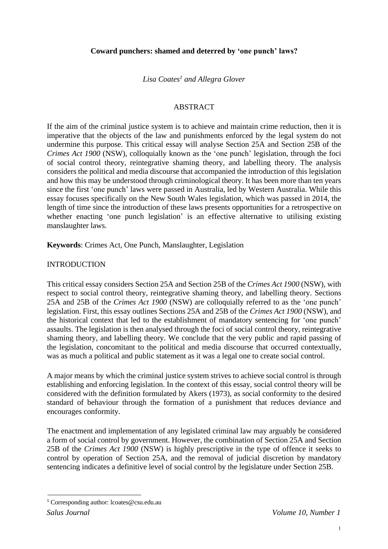*Lisa Coates<sup>1</sup> and Allegra Glover*

### ABSTRACT

If the aim of the criminal justice system is to achieve and maintain crime reduction, then it is imperative that the objects of the law and punishments enforced by the legal system do not undermine this purpose. This critical essay will analyse Section 25A and Section 25B of the *Crimes Act 1900* (NSW), colloquially known as the 'one punch' legislation, through the foci of social control theory, reintegrative shaming theory, and labelling theory. The analysis considers the political and media discourse that accompanied the introduction of this legislation and how this may be understood through criminological theory. It has been more than ten years since the first 'one punch' laws were passed in Australia, led by Western Australia. While this essay focuses specifically on the New South Wales legislation, which was passed in 2014, the length of time since the introduction of these laws presents opportunities for a retrospective on whether enacting 'one punch legislation' is an effective alternative to utilising existing manslaughter laws.

**Keywords**: Crimes Act, One Punch, Manslaughter, Legislation

# INTRODUCTION

This critical essay considers Section 25A and Section 25B of the *Crimes Act 1900* (NSW), with respect to social control theory, reintegrative shaming theory, and labelling theory. Sections 25A and 25B of the *Crimes Act 1900* (NSW) are colloquially referred to as the 'one punch' legislation. First, this essay outlines Sections 25A and 25B of the *Crimes Act 1900* (NSW), and the historical context that led to the establishment of mandatory sentencing for 'one punch' assaults. The legislation is then analysed through the foci of social control theory, reintegrative shaming theory, and labelling theory. We conclude that the very public and rapid passing of the legislation, concomitant to the political and media discourse that occurred contextually, was as much a political and public statement as it was a legal one to create social control.

A major means by which the criminal justice system strives to achieve social control is through establishing and enforcing legislation. In the context of this essay, social control theory will be considered with the definition formulated by Akers (1973), as social conformity to the desired standard of behaviour through the formation of a punishment that reduces deviance and encourages conformity.

The enactment and implementation of any legislated criminal law may arguably be considered a form of social control by government. However, the combination of Section 25A and Section 25B of the *Crimes Act 1900* (NSW) is highly prescriptive in the type of offence it seeks to control by operation of Section 25A, and the removal of judicial discretion by mandatory sentencing indicates a definitive level of social control by the legislature under Section 25B.

<sup>1</sup> Corresponding author: [lcoates@csu.edu.au](mailto:lcoates@csu.edu.au)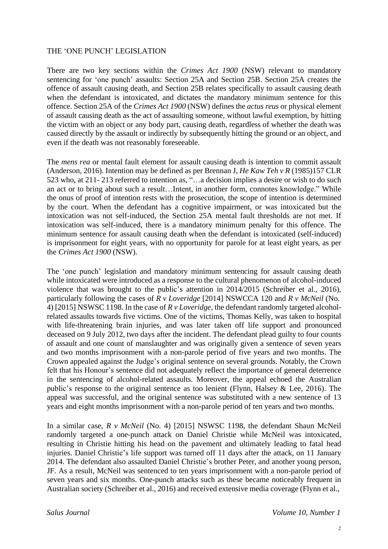### THE 'ONE PUNCH' LEGISLATION

There are two key sections within the *Crimes Act 1900* (NSW) relevant to mandatory sentencing for 'one punch' assaults: Section 25A and Section 25B. Section 25A creates the offence of assault causing death, and Section 25B relates specifically to assault causing death when the defendant is intoxicated, and dictates the mandatory minimum sentence for this offence. Section 25A of the *Crimes Act 1900* (NSW) defines the *actus reus* or physical element of assault causing death as the act of assaulting someone, without lawful exemption, by hitting the victim with an object or any body part, causing death, regardless of whether the death was caused directly by the assault or indirectly by subsequently hitting the ground or an object, and even if the death was not reasonably foreseeable.

The *mens rea* or mental fault element for assault causing death is intention to commit assault (Anderson, 2016). Intention may be defined as per Brennan J, *He Kaw Teh v R* (1985)157 CLR 523 who, at 211- 213 referred to intention as, "…a decision implies a desire or wish to do such an act or to bring about such a result…Intent, in another form, connotes knowledge." While the onus of proof of intention rests with the prosecution, the scope of intention is determined by the court. When the defendant has a cognitive impairment, or was intoxicated but the intoxication was not self-induced, the Section 25A mental fault thresholds are not met. If intoxication was self-induced, there is a mandatory minimum penalty for this offence. The minimum sentence for assault causing death when the defendant is intoxicated (self-induced) is imprisonment for eight years, with no opportunity for parole for at least eight years, as per the *Crimes Act 1900* (NSW).

The 'one punch' legislation and mandatory minimum sentencing for assault causing death while intoxicated were introduced as a response to the cultural phenomenon of alcohol-induced violence that was brought to the public's attention in 2014/2015 (Schreiber et al., 2016), particularly following the cases of *R v Loveridge* [2014] NSWCCA 120 and *R v McNeil* (No. 4) [2015] NSWSC 1198. In the case of *R v Loveridge*, the defendant randomly targeted alcoholrelated assaults towards five victims. One of the victims, Thomas Kelly, was taken to hospital with life-threatening brain injuries, and was later taken off life support and pronounced deceased on 9 July 2012, two days after the incident. The defendant plead guilty to four counts of assault and one count of manslaughter and was originally given a sentence of seven years and two months imprisonment with a non-parole period of five years and two months. The Crown appealed against the Judge's original sentence on several grounds. Notably, the Crown felt that his Honour's sentence did not adequately reflect the importance of general deterrence in the sentencing of alcohol-related assaults. Moreover, the appeal echoed the Australian public's response to the original sentence as too lenient (Flynn, Halsey & Lee, 2016). The appeal was successful, and the original sentence was substituted with a new sentence of 13 years and eight months imprisonment with a non-parole period of ten years and two months.

In a similar case, *R v McNeil* (No. 4) [2015] NSWSC 1198, the defendant Shaun McNeil randomly targeted a one-punch attack on Daniel Christie while McNeil was intoxicated, resulting in Christie hitting his head on the pavement and ultimately leading to fatal head injuries. Daniel Christie's life support was turned off 11 days after the attack, on 11 January 2014. The defendant also assaulted Daniel Christie's brother Peter, and another young person, JF. As a result, McNeil was sentenced to ten years imprisonment with a non-parole period of seven years and six months. One-punch attacks such as these became noticeably frequent in Australian society (Schreiber et al., 2016) and received extensive media coverage (Flynn et al.,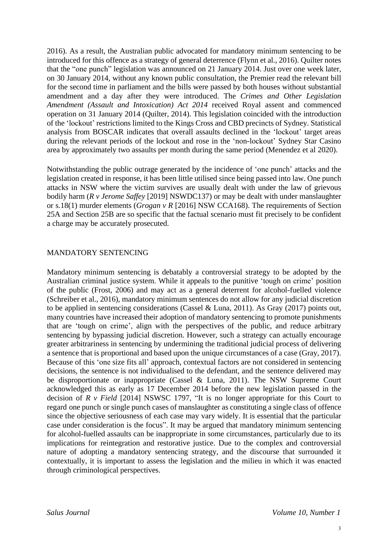2016). As a result, the Australian public advocated for mandatory minimum sentencing to be introduced for this offence as a strategy of general deterrence (Flynn et al., 2016). Quilter notes that the "one punch" legislation was announced on 21 January 2014. Just over one week later, on 30 January 2014, without any known public consultation, the Premier read the relevant bill for the second time in parliament and the bills were passed by both houses without substantial amendment and a day after they were introduced. The *Crimes and Other Legislation Amendment (Assault and Intoxication) Act 2014* received Royal assent and commenced operation on 31 January 2014 (Quilter, 2014). This legislation coincided with the introduction of the 'lockout' restrictions limited to the Kings Cross and CBD precincts of Sydney. Statistical analysis from BOSCAR indicates that overall assaults declined in the 'lockout' target areas during the relevant periods of the lockout and rose in the 'non-lockout' Sydney Star Casino area by approximately two assaults per month during the same period (Menendez et al 2020).

Notwithstanding the public outrage generated by the incidence of 'one punch' attacks and the legislation created in response, it has been little utilised since being passed into law. One punch attacks in NSW where the victim survives are usually dealt with under the law of grievous bodily harm (*R v Jerome Saffey* [2019] NSWDC137) or may be dealt with under manslaughter or s.18(1) murder elements (*Grogan v R* [2016] NSW CCA168). The requirements of Section 25A and Section 25B are so specific that the factual scenario must fit precisely to be confident a charge may be accurately prosecuted.

### MANDATORY SENTENCING

Mandatory minimum sentencing is debatably a controversial strategy to be adopted by the Australian criminal justice system. While it appeals to the punitive 'tough on crime' position of the public (Frost, 2006) and may act as a general deterrent for alcohol-fuelled violence (Schreiber et al., 2016), mandatory minimum sentences do not allow for any judicial discretion to be applied in sentencing considerations (Cassel & Luna, 2011). As Gray (2017) points out, many countries have increased their adoption of mandatory sentencing to promote punishments that are 'tough on crime', align with the perspectives of the public, and reduce arbitrary sentencing by bypassing judicial discretion. However, such a strategy can actually encourage greater arbitrariness in sentencing by undermining the traditional judicial process of delivering a sentence that is proportional and based upon the unique circumstances of a case (Gray, 2017). Because of this 'one size fits all' approach, contextual factors are not considered in sentencing decisions, the sentence is not individualised to the defendant, and the sentence delivered may be disproportionate or inappropriate (Cassel & Luna, 2011). The NSW Supreme Court acknowledged this as early as 17 December 2014 before the new legislation passed in the decision of *R v Field* [2014] NSWSC 1797, "It is no longer appropriate for this Court to regard one punch or single punch cases of manslaughter as constituting a single class of offence since the objective seriousness of each case may vary widely. It is essential that the particular case under consideration is the focus". It may be argued that mandatory minimum sentencing for alcohol-fuelled assaults can be inappropriate in some circumstances, particularly due to its implications for reintegration and restorative justice. Due to the complex and controversial nature of adopting a mandatory sentencing strategy, and the discourse that surrounded it contextually, it is important to assess the legislation and the milieu in which it was enacted through criminological perspectives.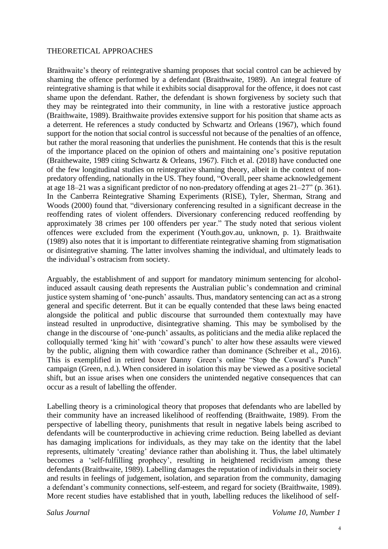#### THEORETICAL APPROACHES

Braithwaite's theory of reintegrative shaming proposes that social control can be achieved by shaming the offence performed by a defendant (Braithwaite, 1989). An integral feature of reintegrative shaming is that while it exhibits social disapproval for the offence, it does not cast shame upon the defendant. Rather, the defendant is shown forgiveness by society such that they may be reintegrated into their community, in line with a restorative justice approach (Braithwaite, 1989). Braithwaite provides extensive support for his position that shame acts as a deterrent. He references a study conducted by Schwartz and Orleans (1967), which found support for the notion that social control is successful not because of the penalties of an offence, but rather the moral reasoning that underlies the punishment. He contends that this is the result of the importance placed on the opinion of others and maintaining one's positive reputation (Braithewaite, 1989 citing Schwartz & Orleans, 1967). Fitch et al. (2018) have conducted one of the few longitudinal studies on reintegrative shaming theory, albeit in the context of nonpredatory offending, nationally in the US. They found, "Overall, peer shame acknowledgement at age 18–21 was a significant predictor of no non‐predatory offending at ages 21–27" (p. 361). In the Canberra Reintegrative Shaming Experiments (RISE), Tyler, Sherman, Strang and Woods (2000) found that, "diversionary conferencing resulted in a significant decrease in the reoffending rates of violent offenders. Diversionary conferencing reduced reoffending by approximately 38 crimes per 100 offenders per year." The study noted that serious violent offences were excluded from the experiment (Youth.gov.au, unknown, p. 1). Braithwaite (1989) also notes that it is important to differentiate reintegrative shaming from stigmatisation or disintegrative shaming. The latter involves shaming the individual, and ultimately leads to the individual's ostracism from society.

Arguably, the establishment of and support for mandatory minimum sentencing for alcoholinduced assault causing death represents the Australian public's condemnation and criminal justice system shaming of 'one-punch' assaults. Thus, mandatory sentencing can act as a strong general and specific deterrent. But it can be equally contended that these laws being enacted alongside the political and public discourse that surrounded them contextually may have instead resulted in unproductive, disintegrative shaming. This may be symbolised by the change in the discourse of 'one-punch' assaults, as politicians and the media alike replaced the colloquially termed 'king hit' with 'coward's punch' to alter how these assaults were viewed by the public, aligning them with cowardice rather than dominance (Schreiber et al., 2016). This is exemplified in retired boxer Danny Green's online "Stop the Coward's Punch" campaign (Green, n.d.). When considered in isolation this may be viewed as a positive societal shift, but an issue arises when one considers the unintended negative consequences that can occur as a result of labelling the offender.

Labelling theory is a criminological theory that proposes that defendants who are labelled by their community have an increased likelihood of reoffending (Braithwaite, 1989). From the perspective of labelling theory, punishments that result in negative labels being ascribed to defendants will be counterproductive in achieving crime reduction. Being labelled as deviant has damaging implications for individuals, as they may take on the identity that the label represents, ultimately 'creating' deviance rather than abolishing it. Thus, the label ultimately becomes a 'self-fulfilling prophecy', resulting in heightened recidivism among these defendants (Braithwaite, 1989). Labelling damages the reputation of individuals in their society and results in feelings of judgement, isolation, and separation from the community, damaging a defendant's community connections, self-esteem, and regard for society (Braithwaite, 1989). More recent studies have established that in youth, labelling reduces the likelihood of self-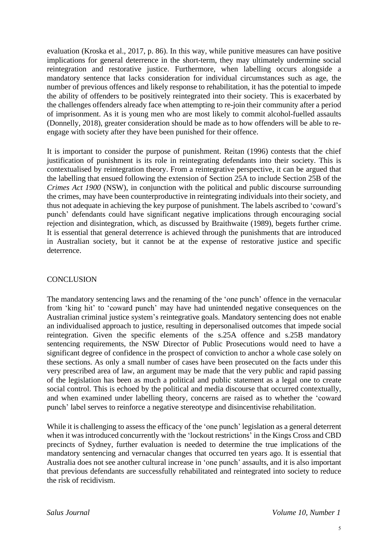evaluation (Kroska et al., 2017, p. 86). In this way, while punitive measures can have positive implications for general deterrence in the short-term, they may ultimately undermine social reintegration and restorative justice. Furthermore, when labelling occurs alongside a mandatory sentence that lacks consideration for individual circumstances such as age, the number of previous offences and likely response to rehabilitation, it has the potential to impede the ability of offenders to be positively reintegrated into their society. This is exacerbated by the challenges offenders already face when attempting to re-join their community after a period of imprisonment. As it is young men who are most likely to commit alcohol-fuelled assaults (Donnelly, 2018), greater consideration should be made as to how offenders will be able to reengage with society after they have been punished for their offence.

It is important to consider the purpose of punishment. Reitan (1996) contests that the chief justification of punishment is its role in reintegrating defendants into their society. This is contextualised by reintegration theory. From a reintegrative perspective, it can be argued that the labelling that ensued following the extension of Section 25A to include Section 25B of the *Crimes Act 1900* (NSW), in conjunction with the political and public discourse surrounding the crimes, may have been counterproductive in reintegrating individuals into their society, and thus not adequate in achieving the key purpose of punishment. The labels ascribed to 'coward's punch' defendants could have significant negative implications through encouraging social rejection and disintegration, which, as discussed by Braithwaite (1989), begets further crime. It is essential that general deterrence is achieved through the punishments that are introduced in Australian society, but it cannot be at the expense of restorative justice and specific deterrence.

# **CONCLUSION**

The mandatory sentencing laws and the renaming of the 'one punch' offence in the vernacular from 'king hit' to 'coward punch' may have had unintended negative consequences on the Australian criminal justice system's reintegrative goals. Mandatory sentencing does not enable an individualised approach to justice, resulting in depersonalised outcomes that impede social reintegration. Given the specific elements of the s.25A offence and s.25B mandatory sentencing requirements, the NSW Director of Public Prosecutions would need to have a significant degree of confidence in the prospect of conviction to anchor a whole case solely on these sections. As only a small number of cases have been prosecuted on the facts under this very prescribed area of law, an argument may be made that the very public and rapid passing of the legislation has been as much a political and public statement as a legal one to create social control. This is echoed by the political and media discourse that occurred contextually, and when examined under labelling theory, concerns are raised as to whether the 'coward punch' label serves to reinforce a negative stereotype and disincentivise rehabilitation.

While it is challenging to assess the efficacy of the 'one punch' legislation as a general deterrent when it was introduced concurrently with the 'lockout restrictions' in the Kings Cross and CBD precincts of Sydney, further evaluation is needed to determine the true implications of the mandatory sentencing and vernacular changes that occurred ten years ago. It is essential that Australia does not see another cultural increase in 'one punch' assaults, and it is also important that previous defendants are successfully rehabilitated and reintegrated into society to reduce the risk of recidivism.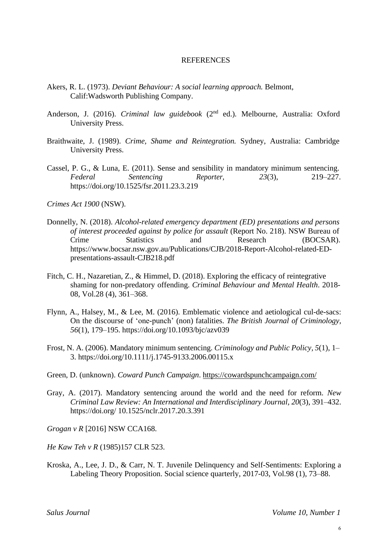#### REFERENCES

- Akers, R. L. (1973). *Deviant Behaviour: A social learning approach.* Belmont, Calif:Wadsworth Publishing Company.
- Anderson, J. (2016). *Criminal law guidebook* (2nd ed.)*.* Melbourne, Australia: Oxford University Press.
- Braithwaite, J. (1989). *Crime, Shame and Reintegration.* Sydney, Australia: Cambridge University Press.
- Cassel, P. G., & Luna, E. (2011). Sense and sensibility in mandatory minimum sentencing. *Federal Sentencing Reporter, 23*(3), 219–227. https://doi.org/10.1525/fsr.2011.23.3.219

*Crimes Act 1900* (NSW).

- Donnelly, N. (2018). *Alcohol-related emergency department (ED) presentations and persons of interest proceeded against by police for assault* (Report No. 218). NSW Bureau of Crime Statistics and Research (BOCSAR)[.](http://www.bocsar.nsw.gov.au/Publications/CJB/2018-Report-Alcohol-related-ED-) [https://www.bocsar](http://www.bocsar.nsw.gov.au/Publications/CJB/2018-Report-Alcohol-related-ED-).n[sw.gov.au/Publications/CJB/2018-Report-Alcohol-related-ED](http://www.bocsar.nsw.gov.au/Publications/CJB/2018-Report-Alcohol-related-ED-)presentations-assault-CJB218.pdf
- Fitch, C. H., Nazaretian, Z., & Himmel, D. (2018). Exploring the efficacy of reintegrative shaming for non-predatory offending. *Criminal Behaviour and Mental Health*. 2018- 08, Vol.28 (4), 361–368.
- Flynn, A., Halsey, M., & Lee, M. (2016). Emblematic violence and aetiological cul-de-sacs: On the discourse of 'one-punch' (non) fatalities. *The British Journal of Criminology, 56*(1), 179–195. https://doi.org/10.1093/bjc/azv039
- Frost, N. A. (2006). Mandatory minimum sentencing. *Criminology and Public Policy, 5*(1), 1– 3. https://doi.org/10.1111/j.1745-9133.2006.00115.x
- Green, D. (unknown). *Coward Punch Campaign*. <https://cowardspunchcampaign.com/>
- Gray, A. (2017). Mandatory sentencing around the world and the need for reform. *New Criminal Law Review: An International and Interdisciplinary Journal, 20*(3), 391–432. https://doi.org/ 10.1525/nclr.2017.20.3.391

*Grogan v R* [2016] NSW CCA168.

*He Kaw Teh v R* (1985)157 CLR 523.

Kroska, A., Lee, J. D., & Carr, N. T. Juvenile Delinquency and Self-Sentiments: Exploring a Labeling Theory Proposition. Social science quarterly, 2017-03, Vol.98 (1), 73–88.

*Salus Journal Volume 10, Number 1*